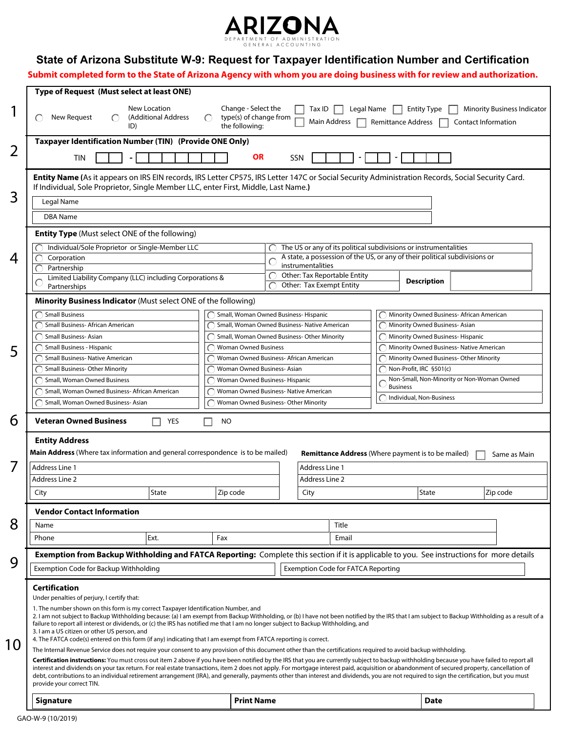

## **State of Arizona Substitute W-9: Request for Taxpayer Identification Number and Certification**

**Submit completed form to the State of Arizona Agency with whom you are doing business with for review and authorization.**

|    | Type of Request (Must select at least ONE)                                                                                                                                                                                                                                                                                                                                                                                                                                                                                                                                                                            |                                                                              |                                                                  |                                                                                                 |                              |                                                               |                    |                            |                                    |  |  |
|----|-----------------------------------------------------------------------------------------------------------------------------------------------------------------------------------------------------------------------------------------------------------------------------------------------------------------------------------------------------------------------------------------------------------------------------------------------------------------------------------------------------------------------------------------------------------------------------------------------------------------------|------------------------------------------------------------------------------|------------------------------------------------------------------|-------------------------------------------------------------------------------------------------|------------------------------|---------------------------------------------------------------|--------------------|----------------------------|------------------------------------|--|--|
|    | New Location<br>New Request<br>(Additional Address<br>ID)                                                                                                                                                                                                                                                                                                                                                                                                                                                                                                                                                             | Change - Select the<br>type(s) of change from<br>$\bigcap$<br>the following: |                                                                  | Tax ID                                                                                          | Legal Name<br>Main Address   | <b>Remittance Address</b>                                     | <b>Entity Type</b> | <b>Contact Information</b> | <b>Minority Business Indicator</b> |  |  |
|    | Taxpayer Identification Number (TIN) (Provide ONE Only)                                                                                                                                                                                                                                                                                                                                                                                                                                                                                                                                                               |                                                                              |                                                                  |                                                                                                 |                              |                                                               |                    |                            |                                    |  |  |
| 2  | <b>OR</b><br>SSN<br><b>TIN</b>                                                                                                                                                                                                                                                                                                                                                                                                                                                                                                                                                                                        |                                                                              |                                                                  |                                                                                                 |                              |                                                               |                    |                            |                                    |  |  |
| 3  | Entity Name (As it appears on IRS EIN records, IRS Letter CP575, IRS Letter 147C or Social Security Administration Records, Social Security Card.<br>If Individual, Sole Proprietor, Single Member LLC, enter First, Middle, Last Name.)                                                                                                                                                                                                                                                                                                                                                                              |                                                                              |                                                                  |                                                                                                 |                              |                                                               |                    |                            |                                    |  |  |
|    | Legal Name                                                                                                                                                                                                                                                                                                                                                                                                                                                                                                                                                                                                            |                                                                              |                                                                  |                                                                                                 |                              |                                                               |                    |                            |                                    |  |  |
|    | <b>DBA</b> Name                                                                                                                                                                                                                                                                                                                                                                                                                                                                                                                                                                                                       |                                                                              |                                                                  |                                                                                                 |                              |                                                               |                    |                            |                                    |  |  |
|    | <b>Entity Type</b> (Must select ONE of the following)                                                                                                                                                                                                                                                                                                                                                                                                                                                                                                                                                                 |                                                                              |                                                                  |                                                                                                 |                              |                                                               |                    |                            |                                    |  |  |
|    | Individual/Sole Proprietor or Single-Member LLC                                                                                                                                                                                                                                                                                                                                                                                                                                                                                                                                                                       |                                                                              | The US or any of its political subdivisions or instrumentalities |                                                                                                 |                              |                                                               |                    |                            |                                    |  |  |
| 4  | Corporation                                                                                                                                                                                                                                                                                                                                                                                                                                                                                                                                                                                                           |                                                                              |                                                                  | A state, a possession of the US, or any of their political subdivisions or<br>instrumentalities |                              |                                                               |                    |                            |                                    |  |  |
|    | Partnership<br>Limited Liability Company (LLC) including Corporations &                                                                                                                                                                                                                                                                                                                                                                                                                                                                                                                                               |                                                                              | C                                                                |                                                                                                 | Other: Tax Reportable Entity |                                                               |                    |                            |                                    |  |  |
|    | Partnerships                                                                                                                                                                                                                                                                                                                                                                                                                                                                                                                                                                                                          |                                                                              | Other: Tax Exempt Entity                                         |                                                                                                 |                              |                                                               | <b>Description</b> |                            |                                    |  |  |
|    | Minority Business Indicator (Must select ONE of the following)                                                                                                                                                                                                                                                                                                                                                                                                                                                                                                                                                        |                                                                              |                                                                  |                                                                                                 |                              |                                                               |                    |                            |                                    |  |  |
|    | <b>Small Business</b><br>Small, Woman Owned Business-Hispanic<br>Minority Owned Business- African American                                                                                                                                                                                                                                                                                                                                                                                                                                                                                                            |                                                                              |                                                                  |                                                                                                 |                              |                                                               |                    |                            |                                    |  |  |
|    | Small Business- African American                                                                                                                                                                                                                                                                                                                                                                                                                                                                                                                                                                                      |                                                                              | Small, Woman Owned Business- Native American                     |                                                                                                 |                              | Minority Owned Business-Asian                                 |                    |                            |                                    |  |  |
|    | Small Business-Asian                                                                                                                                                                                                                                                                                                                                                                                                                                                                                                                                                                                                  |                                                                              | Small, Woman Owned Business-Other Minority                       |                                                                                                 |                              | Minority Owned Business-Hispanic                              |                    |                            |                                    |  |  |
| 5  | Small Business - Hispanic                                                                                                                                                                                                                                                                                                                                                                                                                                                                                                                                                                                             |                                                                              | <b>Woman Owned Business</b>                                      |                                                                                                 |                              | Minority Owned Business- Native American                      |                    |                            |                                    |  |  |
|    | <b>Small Business- Native American</b>                                                                                                                                                                                                                                                                                                                                                                                                                                                                                                                                                                                |                                                                              | Woman Owned Business- African American                           |                                                                                                 |                              | Minority Owned Business-Other Minority                        |                    |                            |                                    |  |  |
|    | <b>Small Business- Other Minority</b>                                                                                                                                                                                                                                                                                                                                                                                                                                                                                                                                                                                 |                                                                              | Woman Owned Business- Asian                                      |                                                                                                 |                              | Non-Profit, IRC §501(c)                                       |                    |                            |                                    |  |  |
|    | Small, Woman Owned Business                                                                                                                                                                                                                                                                                                                                                                                                                                                                                                                                                                                           |                                                                              | Woman Owned Business-Hispanic                                    |                                                                                                 |                              | Non-Small, Non-Minority or Non-Woman Owned<br><b>Business</b> |                    |                            |                                    |  |  |
|    | Small, Woman Owned Business- African American                                                                                                                                                                                                                                                                                                                                                                                                                                                                                                                                                                         |                                                                              | Woman Owned Business- Native American                            |                                                                                                 |                              | Individual, Non-Business                                      |                    |                            |                                    |  |  |
|    | Small, Woman Owned Business-Asian                                                                                                                                                                                                                                                                                                                                                                                                                                                                                                                                                                                     |                                                                              | Woman Owned Business-Other Minority                              |                                                                                                 |                              |                                                               |                    |                            |                                    |  |  |
| 6  | <b>Veteran Owned Business</b><br>YES<br>NO                                                                                                                                                                                                                                                                                                                                                                                                                                                                                                                                                                            |                                                                              |                                                                  |                                                                                                 |                              |                                                               |                    |                            |                                    |  |  |
|    | <b>Entity Address</b>                                                                                                                                                                                                                                                                                                                                                                                                                                                                                                                                                                                                 |                                                                              |                                                                  |                                                                                                 |                              |                                                               |                    |                            |                                    |  |  |
|    | Main Address (Where tax information and general correspondence is to be mailed)<br><b>Remittance Address</b> (Where payment is to be mailed)<br>Same as Main                                                                                                                                                                                                                                                                                                                                                                                                                                                          |                                                                              |                                                                  |                                                                                                 |                              |                                                               |                    |                            |                                    |  |  |
|    | <b>Address Line 1</b>                                                                                                                                                                                                                                                                                                                                                                                                                                                                                                                                                                                                 |                                                                              | Address Line 1                                                   |                                                                                                 |                              |                                                               |                    |                            |                                    |  |  |
|    | <b>Address Line 2</b>                                                                                                                                                                                                                                                                                                                                                                                                                                                                                                                                                                                                 |                                                                              | Address Line 2                                                   |                                                                                                 |                              |                                                               |                    |                            |                                    |  |  |
|    |                                                                                                                                                                                                                                                                                                                                                                                                                                                                                                                                                                                                                       |                                                                              | City                                                             |                                                                                                 |                              | State                                                         |                    |                            |                                    |  |  |
|    | City<br><b>State</b>                                                                                                                                                                                                                                                                                                                                                                                                                                                                                                                                                                                                  | Zip code                                                                     |                                                                  |                                                                                                 |                              |                                                               |                    |                            | Zip code                           |  |  |
|    | <b>Vendor Contact Information</b>                                                                                                                                                                                                                                                                                                                                                                                                                                                                                                                                                                                     |                                                                              |                                                                  |                                                                                                 |                              |                                                               |                    |                            |                                    |  |  |
| 8  | Name                                                                                                                                                                                                                                                                                                                                                                                                                                                                                                                                                                                                                  |                                                                              | Title                                                            |                                                                                                 |                              |                                                               |                    |                            |                                    |  |  |
|    | Ext.<br>Phone                                                                                                                                                                                                                                                                                                                                                                                                                                                                                                                                                                                                         | Fax                                                                          | Email                                                            |                                                                                                 |                              |                                                               |                    |                            |                                    |  |  |
|    | Exemption from Backup Withholding and FATCA Reporting: Complete this section if it is applicable to you. See instructions for more details                                                                                                                                                                                                                                                                                                                                                                                                                                                                            |                                                                              |                                                                  |                                                                                                 |                              |                                                               |                    |                            |                                    |  |  |
| 9  | Exemption Code for Backup Withholding                                                                                                                                                                                                                                                                                                                                                                                                                                                                                                                                                                                 |                                                                              | <b>Exemption Code for FATCA Reporting</b>                        |                                                                                                 |                              |                                                               |                    |                            |                                    |  |  |
|    | <b>Certification</b><br>Under penalties of perjury, I certify that:                                                                                                                                                                                                                                                                                                                                                                                                                                                                                                                                                   |                                                                              |                                                                  |                                                                                                 |                              |                                                               |                    |                            |                                    |  |  |
| 10 | 1. The number shown on this form is my correct Taxpayer Identification Number, and<br>2. I am not subject to Backup Withholding because: (a) I am exempt from Backup Withholding, or (b) I have not been notified by the IRS that I am subject to Backup Withholding as a result of a<br>failure to report all interest or dividends, or (c) the IRS has notified me that I am no longer subject to Backup Withholding, and<br>3. I am a US citizen or other US person, and<br>4. The FATCA code(s) entered on this form (if any) indicating that I am exempt from FATCA reporting is correct.                        |                                                                              |                                                                  |                                                                                                 |                              |                                                               |                    |                            |                                    |  |  |
|    | The Internal Revenue Service does not require your consent to any provision of this document other than the certifications required to avoid backup withholding.                                                                                                                                                                                                                                                                                                                                                                                                                                                      |                                                                              |                                                                  |                                                                                                 |                              |                                                               |                    |                            |                                    |  |  |
|    | Certification instructions: You must cross out item 2 above if you have been notified by the IRS that you are currently subject to backup withholding because you have failed to report all<br>interest and dividends on your tax return. For real estate transactions, item 2 does not apply. For mortgage interest paid, acquisition or abandonment of secured property, cancellation of<br>debt, contributions to an individual retirement arrangement (IRA), and generally, payments other than interest and dividends, you are not required to sign the certification, but you must<br>provide your correct TIN. |                                                                              |                                                                  |                                                                                                 |                              |                                                               |                    |                            |                                    |  |  |
|    | <b>Print Name</b><br><b>Signature</b>                                                                                                                                                                                                                                                                                                                                                                                                                                                                                                                                                                                 |                                                                              |                                                                  |                                                                                                 |                              |                                                               | <b>Date</b>        |                            |                                    |  |  |